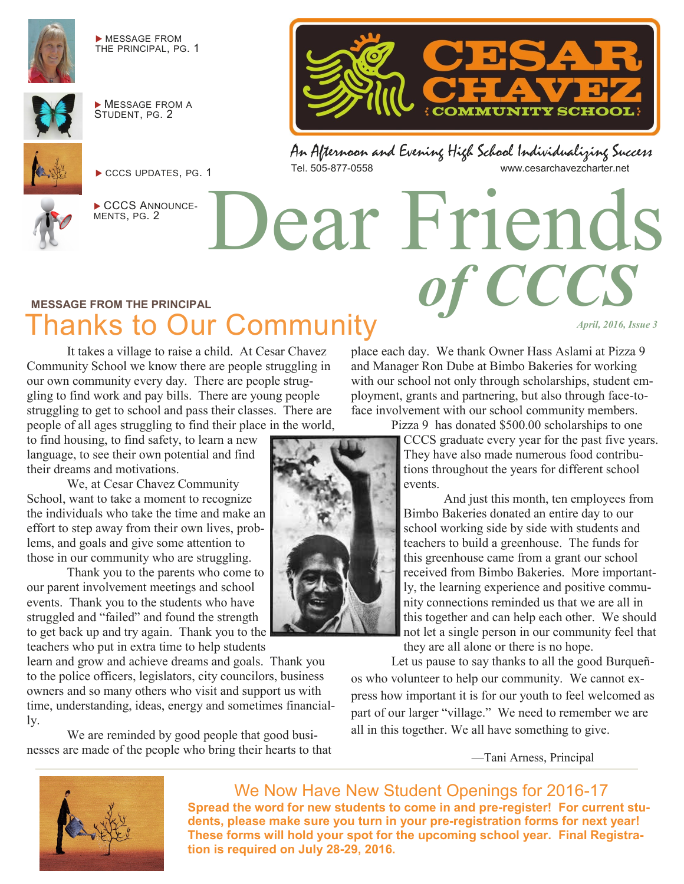

 MESSAGE FROM THE PRINCIPAL, PG. 1



**MESSAGE FROM A** STUDENT, PG. 2



CCCS UPDATES, PG. 1



CCCS ANNOUNCE-MENTS, PG. 2



An Afternoon and Evening High School Individualizing Success www.cesarchavezcharter.net

Dear Friends

#### **MESSAGE FROM THE PRINCIPAL** Thanks to Our Community

It takes a village to raise a child. At Cesar Chavez Community School we know there are people struggling in our own community every day. There are people struggling to find work and pay bills. There are young people struggling to get to school and pass their classes. There are people of all ages struggling to find their place in the world,

to find housing, to find safety, to learn a new language, to see their own potential and find their dreams and motivations.

We, at Cesar Chavez Community School, want to take a moment to recognize the individuals who take the time and make an effort to step away from their own lives, problems, and goals and give some attention to those in our community who are struggling.

Thank you to the parents who come to our parent involvement meetings and school events. Thank you to the students who have struggled and "failed" and found the strength to get back up and try again. Thank you to the teachers who put in extra time to help students

learn and grow and achieve dreams and goals. Thank you to the police officers, legislators, city councilors, business owners and so many others who visit and support us with time, understanding, ideas, energy and sometimes financially.

We are reminded by good people that good businesses are made of the people who bring their hearts to that place each day. We thank Owner Hass Aslami at Pizza 9 and Manager Ron Dube at Bimbo Bakeries for working with our school not only through scholarships, student employment, grants and partnering, but also through face-toface involvement with our school community members.

Pizza 9 has donated \$500.00 scholarships to one

*of CCCS*

*April, 2016, Issue 3* 

CCCS graduate every year for the past five years. They have also made numerous food contributions throughout the years for different school events.

And just this month, ten employees from Bimbo Bakeries donated an entire day to our school working side by side with students and teachers to build a greenhouse. The funds for this greenhouse came from a grant our school received from Bimbo Bakeries. More importantly, the learning experience and positive community connections reminded us that we are all in this together and can help each other. We should not let a single person in our community feel that they are all alone or there is no hope.

Let us pause to say thanks to all the good Burqueños who volunteer to help our community. We cannot express how important it is for our youth to feel welcomed as part of our larger "village." We need to remember we are all in this together. We all have something to give.

—Tani Arness, Principal



We Now Have New Student Openings for 2016-17 **Spread the word for new students to come in and pre-register! For current students, please make sure you turn in your pre-registration forms for next year! These forms will hold your spot for the upcoming school year. Final Registration is required on July 28-29, 2016.**